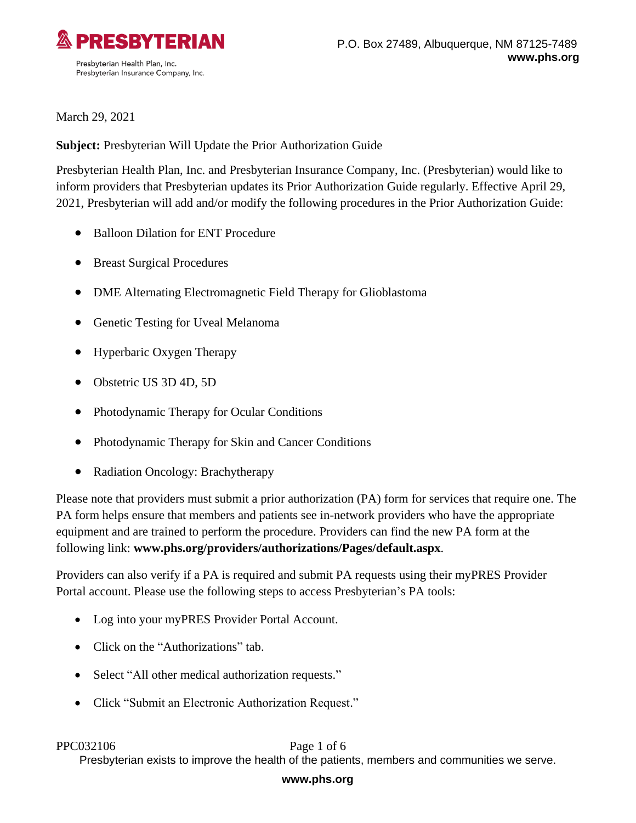

March 29, 2021

**Subject:** Presbyterian Will Update the Prior Authorization Guide

Presbyterian Health Plan, Inc. and Presbyterian Insurance Company, Inc. (Presbyterian) would like to inform providers that Presbyterian updates its Prior Authorization Guide regularly. Effective April 29, 2021, Presbyterian will add and/or modify the following procedures in the Prior Authorization Guide:

- Balloon Dilation for ENT Procedure
- Breast Surgical Procedures
- DME Alternating Electromagnetic Field Therapy for Glioblastoma
- Genetic Testing for Uveal Melanoma
- Hyperbaric Oxygen Therapy
- Obstetric US 3D 4D, 5D
- Photodynamic Therapy for Ocular Conditions
- Photodynamic Therapy for Skin and Cancer Conditions
- Radiation Oncology: Brachytherapy

Please note that providers must submit a prior authorization (PA) form for services that require one. The PA form helps ensure that members and patients see in-network providers who have the appropriate equipment and are trained to perform the procedure. Providers can find the new PA form at the following link: **[www.phs.org/providers/authorizations/Pages/default.aspx](http://www.phs.org/providers/authorizations/Pages/default.aspx)**.

Providers can also verify if a PA is required and submit PA requests using their myPRES Provider Portal account. Please use the following steps to access Presbyterian's PA tools:

- Log into your myPRES Provider Portal Account.
- Click on the "Authorizations" tab.
- Select "All other medical authorization requests."
- Click "Submit an Electronic Authorization Request."

## PPC032106 Page 1 of 6

Presbyterian exists to improve the health of the patients, members and communities we serve.

## **www.phs.org**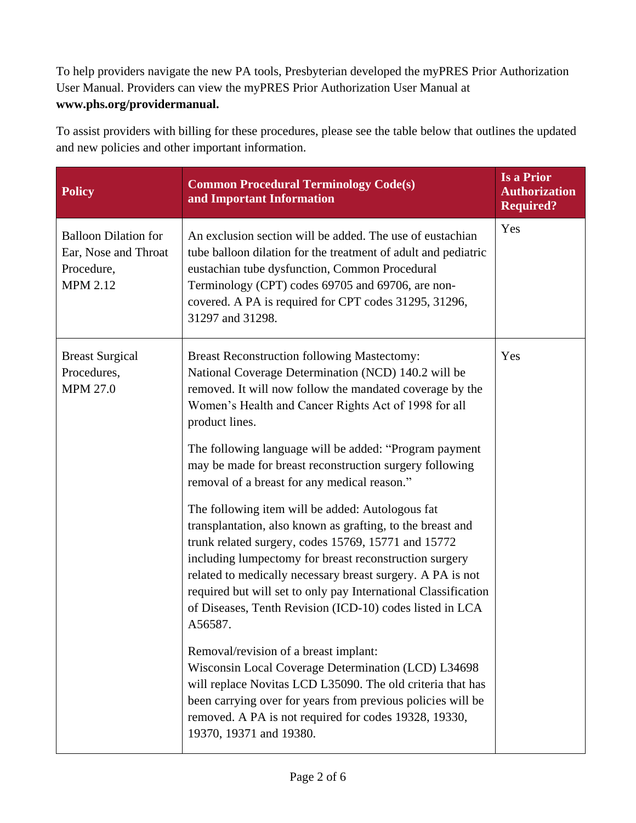To help providers navigate the new PA tools, Presbyterian developed the myPRES Prior Authorization User Manual. Providers can view the myPRES Prior Authorization User Manual at **[www.phs.org/providermanual.](../../gbenitez3/Downloads/www.phs.org/providermanual)**

To assist providers with billing for these procedures, please see the table below that outlines the updated and new policies and other important information.

| <b>Policy</b>                                                                        | <b>Common Procedural Terminology Code(s)</b><br>and Important Information                                                                                                                                                                                                                                                                                                                                                              | <b>Is a Prior</b><br><b>Authorization</b><br><b>Required?</b> |
|--------------------------------------------------------------------------------------|----------------------------------------------------------------------------------------------------------------------------------------------------------------------------------------------------------------------------------------------------------------------------------------------------------------------------------------------------------------------------------------------------------------------------------------|---------------------------------------------------------------|
| <b>Balloon Dilation for</b><br>Ear, Nose and Throat<br>Procedure,<br><b>MPM 2.12</b> | An exclusion section will be added. The use of eustachian<br>tube balloon dilation for the treatment of adult and pediatric<br>eustachian tube dysfunction, Common Procedural<br>Terminology (CPT) codes 69705 and 69706, are non-<br>covered. A PA is required for CPT codes 31295, 31296,<br>31297 and 31298.                                                                                                                        | Yes                                                           |
| <b>Breast Surgical</b><br>Procedures,<br><b>MPM 27.0</b>                             | <b>Breast Reconstruction following Mastectomy:</b><br>National Coverage Determination (NCD) 140.2 will be<br>removed. It will now follow the mandated coverage by the<br>Women's Health and Cancer Rights Act of 1998 for all<br>product lines.                                                                                                                                                                                        | Yes                                                           |
|                                                                                      | The following language will be added: "Program payment<br>may be made for breast reconstruction surgery following<br>removal of a breast for any medical reason."                                                                                                                                                                                                                                                                      |                                                               |
|                                                                                      | The following item will be added: Autologous fat<br>transplantation, also known as grafting, to the breast and<br>trunk related surgery, codes 15769, 15771 and 15772<br>including lumpectomy for breast reconstruction surgery<br>related to medically necessary breast surgery. A PA is not<br>required but will set to only pay International Classification<br>of Diseases, Tenth Revision (ICD-10) codes listed in LCA<br>A56587. |                                                               |
|                                                                                      | Removal/revision of a breast implant:<br>Wisconsin Local Coverage Determination (LCD) L34698<br>will replace Novitas LCD L35090. The old criteria that has<br>been carrying over for years from previous policies will be<br>removed. A PA is not required for codes 19328, 19330,<br>19370, 19371 and 19380.                                                                                                                          |                                                               |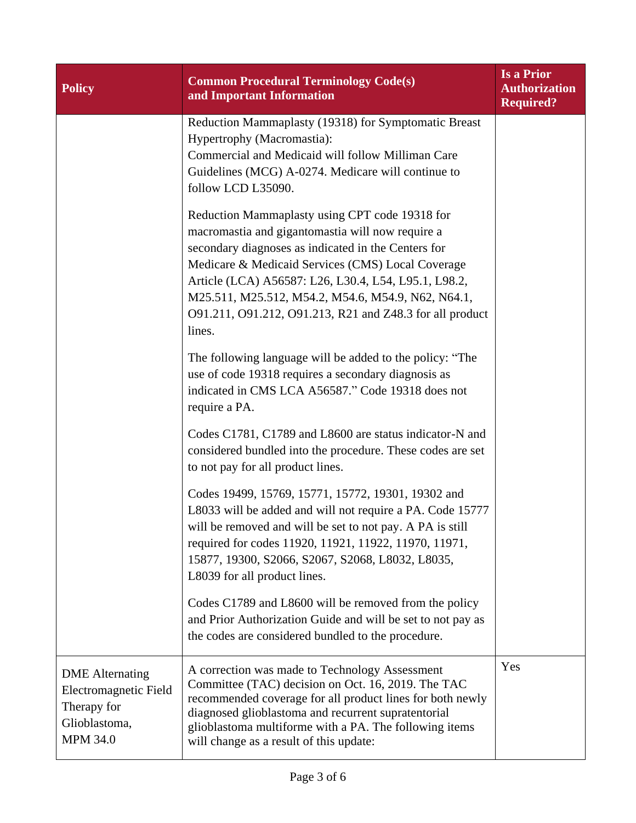| <b>Policy</b>                                                                                      | <b>Common Procedural Terminology Code(s)</b><br>and Important Information                                                                                                                                                                                                                                                                                                                          | <b>Is a Prior</b><br><b>Authorization</b><br><b>Required?</b> |
|----------------------------------------------------------------------------------------------------|----------------------------------------------------------------------------------------------------------------------------------------------------------------------------------------------------------------------------------------------------------------------------------------------------------------------------------------------------------------------------------------------------|---------------------------------------------------------------|
|                                                                                                    | Reduction Mammaplasty (19318) for Symptomatic Breast<br>Hypertrophy (Macromastia):<br>Commercial and Medicaid will follow Milliman Care<br>Guidelines (MCG) A-0274. Medicare will continue to<br>follow LCD L35090.                                                                                                                                                                                |                                                               |
|                                                                                                    | Reduction Mammaplasty using CPT code 19318 for<br>macromastia and gigantomastia will now require a<br>secondary diagnoses as indicated in the Centers for<br>Medicare & Medicaid Services (CMS) Local Coverage<br>Article (LCA) A56587: L26, L30.4, L54, L95.1, L98.2,<br>M25.511, M25.512, M54.2, M54.6, M54.9, N62, N64.1,<br>091.211, 091.212, 091.213, R21 and Z48.3 for all product<br>lines. |                                                               |
|                                                                                                    | The following language will be added to the policy: "The<br>use of code 19318 requires a secondary diagnosis as<br>indicated in CMS LCA A56587." Code 19318 does not<br>require a PA.                                                                                                                                                                                                              |                                                               |
|                                                                                                    | Codes C1781, C1789 and L8600 are status indicator-N and<br>considered bundled into the procedure. These codes are set<br>to not pay for all product lines.                                                                                                                                                                                                                                         |                                                               |
|                                                                                                    | Codes 19499, 15769, 15771, 15772, 19301, 19302 and<br>L8033 will be added and will not require a PA. Code 15777<br>will be removed and will be set to not pay. A PA is still<br>required for codes 11920, 11921, 11922, 11970, 11971,<br>15877, 19300, S2066, S2067, S2068, L8032, L8035,<br>L8039 for all product lines.                                                                          |                                                               |
|                                                                                                    | Codes C1789 and L8600 will be removed from the policy<br>and Prior Authorization Guide and will be set to not pay as<br>the codes are considered bundled to the procedure.                                                                                                                                                                                                                         |                                                               |
| <b>DME</b> Alternating<br>Electromagnetic Field<br>Therapy for<br>Glioblastoma,<br><b>MPM 34.0</b> | A correction was made to Technology Assessment<br>Committee (TAC) decision on Oct. 16, 2019. The TAC<br>recommended coverage for all product lines for both newly<br>diagnosed glioblastoma and recurrent supratentorial<br>glioblastoma multiforme with a PA. The following items<br>will change as a result of this update:                                                                      | Yes                                                           |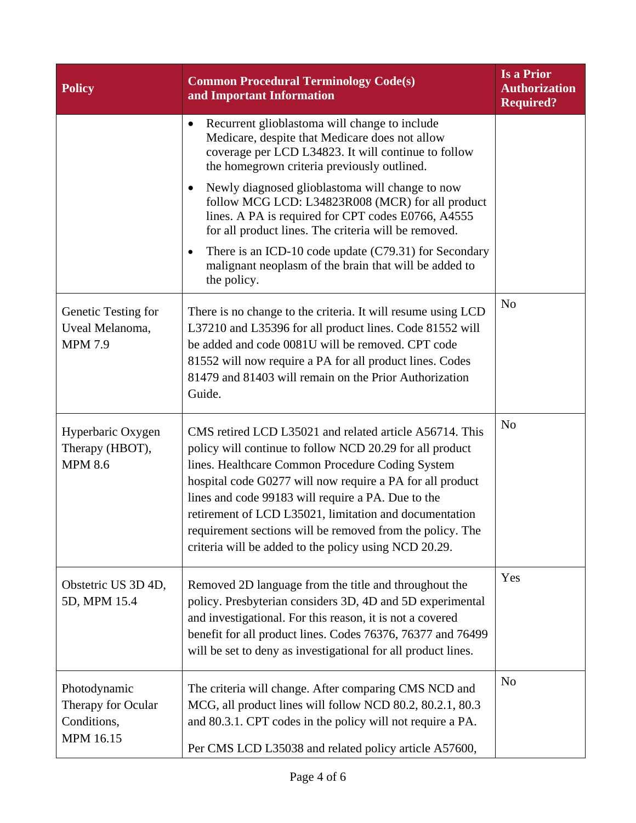| <b>Policy</b>                                                  | <b>Common Procedural Terminology Code(s)</b><br>and Important Information                                                                                                                                                                                                                                                                                                                                                                                                  | <b>Is a Prior</b><br><b>Authorization</b><br><b>Required?</b> |
|----------------------------------------------------------------|----------------------------------------------------------------------------------------------------------------------------------------------------------------------------------------------------------------------------------------------------------------------------------------------------------------------------------------------------------------------------------------------------------------------------------------------------------------------------|---------------------------------------------------------------|
|                                                                | Recurrent glioblastoma will change to include<br>$\bullet$<br>Medicare, despite that Medicare does not allow<br>coverage per LCD L34823. It will continue to follow<br>the homegrown criteria previously outlined.                                                                                                                                                                                                                                                         |                                                               |
|                                                                | Newly diagnosed glioblastoma will change to now<br>follow MCG LCD: L34823R008 (MCR) for all product<br>lines. A PA is required for CPT codes E0766, A4555<br>for all product lines. The criteria will be removed.                                                                                                                                                                                                                                                          |                                                               |
|                                                                | There is an ICD-10 code update (C79.31) for Secondary<br>malignant neoplasm of the brain that will be added to<br>the policy.                                                                                                                                                                                                                                                                                                                                              |                                                               |
| Genetic Testing for<br>Uveal Melanoma,<br><b>MPM 7.9</b>       | There is no change to the criteria. It will resume using LCD<br>L37210 and L35396 for all product lines. Code 81552 will<br>be added and code 0081U will be removed. CPT code<br>81552 will now require a PA for all product lines. Codes<br>81479 and 81403 will remain on the Prior Authorization<br>Guide.                                                                                                                                                              | N <sub>o</sub>                                                |
| Hyperbaric Oxygen<br>Therapy (HBOT),<br><b>MPM 8.6</b>         | CMS retired LCD L35021 and related article A56714. This<br>policy will continue to follow NCD 20.29 for all product<br>lines. Healthcare Common Procedure Coding System<br>hospital code G0277 will now require a PA for all product<br>lines and code 99183 will require a PA. Due to the<br>retirement of LCD L35021, limitation and documentation<br>requirement sections will be removed from the policy. The<br>criteria will be added to the policy using NCD 20.29. | N <sub>o</sub>                                                |
| Obstetric US 3D 4D,<br>5D, MPM 15.4                            | Removed 2D language from the title and throughout the<br>policy. Presbyterian considers 3D, 4D and 5D experimental<br>and investigational. For this reason, it is not a covered<br>benefit for all product lines. Codes 76376, 76377 and 76499<br>will be set to deny as investigational for all product lines.                                                                                                                                                            | Yes                                                           |
| Photodynamic<br>Therapy for Ocular<br>Conditions,<br>MPM 16.15 | The criteria will change. After comparing CMS NCD and<br>MCG, all product lines will follow NCD 80.2, 80.2.1, 80.3<br>and 80.3.1. CPT codes in the policy will not require a PA.<br>Per CMS LCD L35038 and related policy article A57600,                                                                                                                                                                                                                                  | N <sub>o</sub>                                                |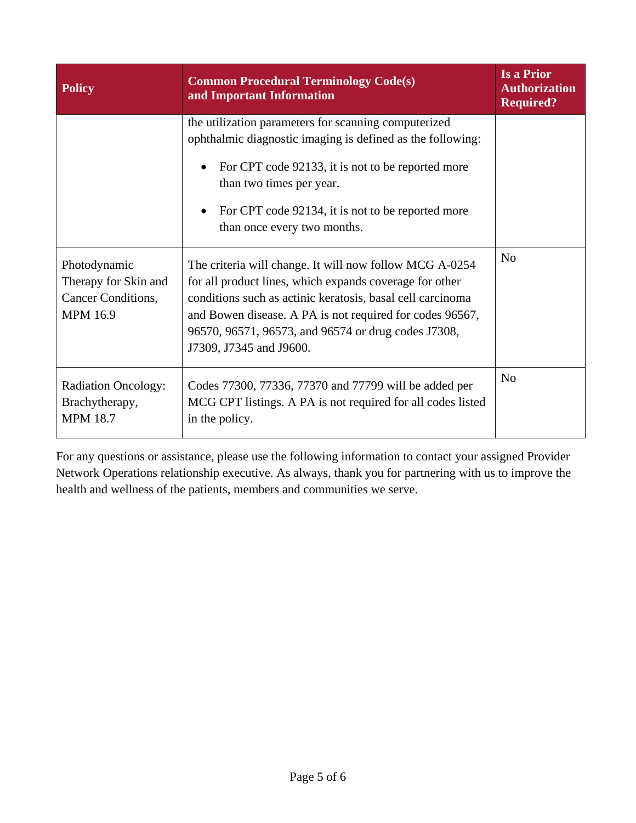| <b>Policy</b>                                                                 | <b>Common Procedural Terminology Code(s)</b><br>and Important Information                                                                                                                                                                                                                                                      | <b>Is a Prior</b><br><b>Authorization</b><br><b>Required?</b> |
|-------------------------------------------------------------------------------|--------------------------------------------------------------------------------------------------------------------------------------------------------------------------------------------------------------------------------------------------------------------------------------------------------------------------------|---------------------------------------------------------------|
|                                                                               | the utilization parameters for scanning computerized<br>ophthalmic diagnostic imaging is defined as the following:<br>For CPT code 92133, it is not to be reported more<br>than two times per year.<br>For CPT code 92134, it is not to be reported more<br>than once every two months.                                        |                                                               |
| Photodynamic<br>Therapy for Skin and<br>Cancer Conditions,<br><b>MPM 16.9</b> | The criteria will change. It will now follow MCG A-0254<br>for all product lines, which expands coverage for other<br>conditions such as actinic keratosis, basal cell carcinoma<br>and Bowen disease. A PA is not required for codes 96567,<br>96570, 96571, 96573, and 96574 or drug codes J7308,<br>J7309, J7345 and J9600. | N <sub>o</sub>                                                |
| <b>Radiation Oncology:</b><br>Brachytherapy,<br><b>MPM 18.7</b>               | Codes 77300, 77336, 77370 and 77799 will be added per<br>MCG CPT listings. A PA is not required for all codes listed<br>in the policy.                                                                                                                                                                                         | N <sub>o</sub>                                                |

For any questions or assistance, please use the following information to contact your assigned Provider Network Operations relationship executive. As always, thank you for partnering with us to improve the health and wellness of the patients, members and communities we serve.